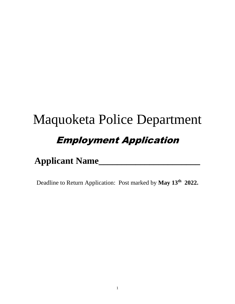# Maquoketa Police Department Employment Application

## **Applicant Name\_\_\_\_\_\_\_\_\_\_\_\_\_\_\_\_\_\_\_\_\_\_**

Deadline to Return Application: Post marked by **May 13th 2022.**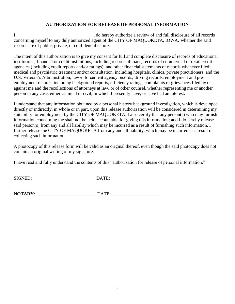#### **AUTHORIZATION FOR RELEASE OF PERSONAL INFORMATION**

I, do hereby authorize a review of and full disclosure of all records concerning myself to any duly authorized agent of the CITY OF MAQUOKETA, IOWA, whether the said records are of public, private, or confidential nature.

The intent of this authorization is to give my consent for full and complete disclosure of records of educational institutions; financial or credit institutions, including records of loans, records of commercial or retail credit agencies (including credit reports and/or ratings); and other financial statements of records whenever filed; medical and psychiatric treatment and/or consultation, including hospitals, clinics, private practitioners, and the U.S. Veteran's Administration; law enforcement agency records; driving records; employment and preemployment records, including background reports, efficiency ratings, complaints or grievances filed by or against me and the recollections of attorneys at law, or of other counsel, whether representing me or another person in any case, either criminal or civil, in which I presently have, or have had an interest.

I understand that any information obtained by a personal history background investigation, which is developed directly or indirectly, in whole or in part, upon this release authorization will be considered in determining my suitability for employment by the CITY OF MAQUOKETA. I also certify that any person(s) who may furnish information concerning me shall not be held accountable for giving this information; and I do hereby release said person(s) from any and all liability which may be incurred as a result of furnishing such information. I further release the CITY OF MAQUOKETA from any and all liability, which may be incurred as a result of collecting such information.

A photocopy of this release form will be valid as an original thereof, even though the said photocopy does not contain an original writing of my signature.

I have read and fully understand the contents of this "authorization for release of personal information."

| <b>SIGNED</b> | $-$ |
|---------------|-----|
|               |     |

| <b>NOTARY:</b> |  |
|----------------|--|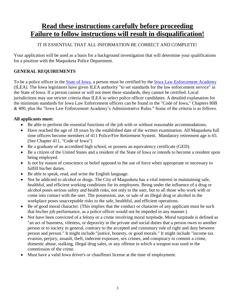## **Read these instructions carefully before proceeding Failure to follow instructions will result in disqualification!**

#### IT IS ESSENTIAL THAT ALL INFORMATION BE CORRECT AND COMPLETE!

Your application will be used as a basis for a background investigation that will determine your qualifications for a position with the Maquoketa Police Department.

#### **GENERAL REQUIREMENTS**

To be a police officer in the [State of Iowa,](http://www.iowa.gov/) a person must be certified by the [Iowa Law Enforcement Academy](http://www.state.ia.us/ilea/) (ILEA). The Iowa legislators have given ILEA authority "to set standards for the law enforcement service" in the State of Iowa. If a person cannot or will not meet these standards, they cannot be certified. Local jurisdictions may use stricter criteria than ILEA to select police officer candidates. A detailed explanation for the minimum standards for Iowa Law Enforcement officers can be found in the "Code of Iowa," Chapters 80B & 400, plus the "Iowa Law Enforcement Academy's Administrative Rules." Some of the criteria is as follows.

#### **All applicants must:**

- Be able to perform the essential functions of the job with or without reasonable accommodations.
- Have reached the age of 18 years by the established date of the written examination. All Maquoketa full time officers become members of 411 Police/Fire Retirement System. Mandatory retirement age is 65. (See Chapter 411, "Code of Iowa")
- Be a graduate of an accredited high school, or possess an equivalency certificate (GED).
- Be a citizen of the United States and a resident of the State of Iowa or intends to become a resident upon being employed.
- Is not by reason of conscience or belief opposed to the use of force when appropriate or necessary to fulfill his/her duties.
- Be able to speak, read, and write the English language.
- Not be addicted to alcohol or drugs. The City of Maquoketa has a vital interest in maintaining safe, healthful, and efficient working conditions for its employees. Being under the influence of a drug or alcohol poses serious safety and health risks, not only to the user, but to all those who work with or come into contact with the user. The possession, use, or sale of an illegal drug or alcohol in the workplace poses unacceptable risks to the safe, healthful, and efficient operations.
- Be of good moral character. (This implies that the conduct or character of any applicant must be such that his/her job performance, as a police officer would not be impeded in any manner.)
- Not have been convicted of a felony or a crime involving moral turpitude. Moral turpitude is defined as "an act of baseness, vileness, or depravity in the private and social duties that a person owes to another person or to society in general, contrary to the accepted and customary rule of right and duty between person and person." It might include "justice, honesty, or good morals." It might include "income tax evasion, perjury, assault, theft, indecent exposure, sex crimes, and conspiracy to commit a crime, domestic abuse, stalking, illegal drug sales, or any offense in which a weapon was used in the commission of the crime.
- Must have a valid Iowa driver's or chauffeurs license at the time of employment.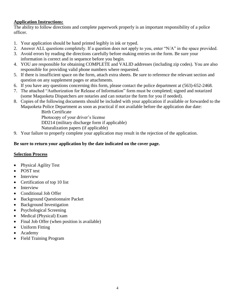#### **Application Instructions:**

The ability to follow directions and complete paperwork properly is an important responsibility of a police officer.

- 1. Your application should be hand printed legibly in ink or typed.
- 2. Answer ALL questions completely. If a question does not apply to you, enter "N/A" in the space provided.
- 3. Avoid errors by reading the directions carefully before making entries on the form. Be sure your information is correct and in sequence before you begin.
- 4. YOU are responsible for obtaining COMPLETE and VALID addresses (including zip codes). You are also responsible for providing valid phone numbers where requested.
- 5. If there is insufficient space on the form, attach extra sheets. Be sure to reference the relevant section and question on any supplement pages or attachments.
- 6. If you have any questions concerning this form, please contact the police department at (563)-652-2468.
- 7. The attached "Authorization for Release of Information" form must be completed; signed and notarized (some Maquoketa Dispatchers are notaries and can notarize the form for you if needed).
- 8. Copies of the following documents should be included with your application if available or forwarded to the Maquoketa Police Department as soon as practical if not available before the application due date:

Birth Certificate

Photocopy of your driver's license

DD214 (military discharge form if applicable)

Naturalization papers (if applicable)

9. Your failure to properly complete your application may result in the rejection of the application.

#### **Be sure to return your application by the date indicated on the cover page.**

#### **Selection Process**

- Physical Agility Test
- POST test
- Interview
- Certification of top 10 list
- Interview
- Conditional Job Offer
- Background Questionnaire Packet
- Background Investigation
- Psychological Screening
- Medical (Physical) Exam
- Final Job Offer (when position is available)
- Uniform Fitting
- Academy
- Field Training Program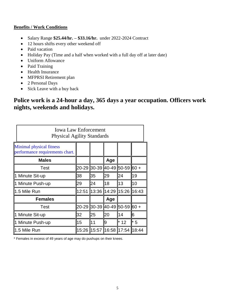#### **Benefits / Work Conditions**

- Salary Range **\$25.44/hr. – \$33.16/hr.** under 2022-2024 Contract
- 12 hours shifts every other weekend off
- Paid vacation
- Holiday Pay (Time and a half when worked with a full day off at later date)
- Uniform Allowance
- Paid Training
- Health Insurance
- MFPRSI Retirement plan
- 2 Personal Days
- Sick Leave with a buy back

### **Police work is a 24-hour a day, 365 days a year occupation. Officers work nights, weekends and holidays.**

| <b>Iowa Law Enforcement</b><br><b>Physical Agility Standards</b>   |       |                               |     |       |       |  |  |
|--------------------------------------------------------------------|-------|-------------------------------|-----|-------|-------|--|--|
| <b>Minimal physical fitness</b><br>performance requirements chart. |       |                               |     |       |       |  |  |
| <b>Males</b>                                                       |       |                               | Age |       |       |  |  |
| Test                                                               | 20-29 | $30-39$ 40-49 50-59 60 +      |     |       |       |  |  |
| 1 Minute Sit-up                                                    | 38    | 35                            | 29  | 24    | 19    |  |  |
| 1 Minute Push-up                                                   | 29    | 24                            | 18  | 13    | 10    |  |  |
| 1.5 Mile Run                                                       | 12:51 | 13:36  14:29  15:26  16:43    |     |       |       |  |  |
| <b>Females</b>                                                     |       |                               | Age |       |       |  |  |
| Test                                                               |       | 20-29 30-39 40-49 50-59 60 +  |     |       |       |  |  |
| 1 Minute Sit-up                                                    | 32    | 25                            | 20  | 14    | 16    |  |  |
| 1 Minute Push-up                                                   | 15    | 11                            | 9   | $*12$ | $*5$  |  |  |
| 1.5 Mile Run                                                       |       | 15:26   15:57   16:58   17:54 |     |       | 18:44 |  |  |

\* Females in excess of 49 years of age may do pushups on their knees.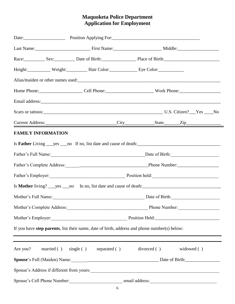#### **Maquoketa Police Department Application for Employment**

|                             |                                                                                                                                                                                                                                        |  | Race: Sex: Sex: Date of Birth: Place of Birth: |  |  |  |
|-----------------------------|----------------------------------------------------------------------------------------------------------------------------------------------------------------------------------------------------------------------------------------|--|------------------------------------------------|--|--|--|
|                             | Height: Weight: Weight: Hair Color: Eye Color:                                                                                                                                                                                         |  |                                                |  |  |  |
|                             | Alias/maiden or other names used:<br><u>Letter and the contract of the contract of the contract of the contract of the contract of the contract of the contract of the contract of the contract of the contract of the contract of</u> |  |                                                |  |  |  |
|                             | Home Phone: Cell Phone: Work Phone:                                                                                                                                                                                                    |  |                                                |  |  |  |
|                             |                                                                                                                                                                                                                                        |  |                                                |  |  |  |
|                             |                                                                                                                                                                                                                                        |  |                                                |  |  |  |
|                             |                                                                                                                                                                                                                                        |  |                                                |  |  |  |
| <b>FAMILY INFORMATION</b>   |                                                                                                                                                                                                                                        |  |                                                |  |  |  |
|                             |                                                                                                                                                                                                                                        |  |                                                |  |  |  |
|                             | Father's Full Name: Date of Birth:                                                                                                                                                                                                     |  |                                                |  |  |  |
|                             |                                                                                                                                                                                                                                        |  |                                                |  |  |  |
|                             | Father's Employer: Position held: Position held:                                                                                                                                                                                       |  |                                                |  |  |  |
|                             |                                                                                                                                                                                                                                        |  |                                                |  |  |  |
|                             | Mother's Full Name: Date of Birth:                                                                                                                                                                                                     |  |                                                |  |  |  |
|                             | Mother's Complete Address: Phone Number: Phone Number:                                                                                                                                                                                 |  |                                                |  |  |  |
|                             | Mother's Employer: Position Held:                                                                                                                                                                                                      |  |                                                |  |  |  |
|                             | If you have step parents, list their name, date of birth, address and phone number(s) below:<br>,我们也不会有什么。""我们的人,我们也不会有什么?""我们的人,我们也不会有什么?""我们的人,我们也不会有什么?""我们的人,我们也不会有什么?""我们的人                                                       |  |                                                |  |  |  |
|                             | ,我们也不会有什么。""我们的人,我们也不会有什么?""我们的人,我们也不会有什么?""我们的人,我们也不会有什么?""我们的人,我们也不会有什么?""我们的人<br>Are you? married () single () separated () divorced () widowed ()                                                                                  |  |                                                |  |  |  |
|                             |                                                                                                                                                                                                                                        |  |                                                |  |  |  |
|                             |                                                                                                                                                                                                                                        |  |                                                |  |  |  |
| Spouse's Cell Phone Number: | email address:                                                                                                                                                                                                                         |  |                                                |  |  |  |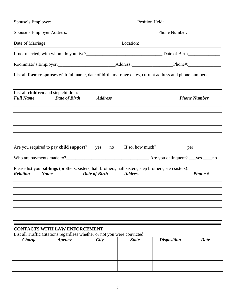|                                                                                                                                                   |               |                                       | Spouse's Employer Address: Manual Phone Number: Phone Number: |                    |                     |  |
|---------------------------------------------------------------------------------------------------------------------------------------------------|---------------|---------------------------------------|---------------------------------------------------------------|--------------------|---------------------|--|
|                                                                                                                                                   |               | Date of Marriage: Location: Location: |                                                               |                    |                     |  |
|                                                                                                                                                   |               |                                       |                                                               |                    |                     |  |
|                                                                                                                                                   |               |                                       |                                                               |                    |                     |  |
| List all former spouses with full name, date of birth, marriage dates, current address and phone numbers:                                         |               |                                       |                                                               |                    |                     |  |
| List all children and step children:<br><b>Full Name</b>                                                                                          | Date of Birth | <b>Address</b>                        |                                                               |                    | <b>Phone Number</b> |  |
|                                                                                                                                                   |               |                                       |                                                               |                    |                     |  |
|                                                                                                                                                   |               |                                       |                                                               |                    |                     |  |
|                                                                                                                                                   |               |                                       |                                                               |                    |                     |  |
|                                                                                                                                                   |               |                                       |                                                               |                    |                     |  |
|                                                                                                                                                   |               |                                       |                                                               |                    |                     |  |
|                                                                                                                                                   |               |                                       |                                                               |                    |                     |  |
| Please list your <b>siblings</b> (brothers, sisters, half brothers, half sisters, step brothers, step sisters):<br><b>Relation</b><br><b>Name</b> |               | Date of Birth                         | <b>Address</b>                                                |                    | Phone #             |  |
|                                                                                                                                                   |               |                                       |                                                               |                    |                     |  |
|                                                                                                                                                   |               |                                       |                                                               |                    |                     |  |
|                                                                                                                                                   |               |                                       |                                                               |                    |                     |  |
|                                                                                                                                                   |               |                                       |                                                               |                    |                     |  |
|                                                                                                                                                   |               |                                       |                                                               |                    |                     |  |
| <b>CONTACTS WITH LAW ENFORCEMENT</b><br>List all Traffic Citations regardless whether or not you were convicted:                                  |               |                                       |                                                               |                    |                     |  |
| <b>Charge</b>                                                                                                                                     | Agency        | <b>City</b>                           | <b>State</b>                                                  | <b>Disposition</b> | <b>Date</b>         |  |

| $C$ $u_{\mathcal{B}}$ | 1500y | <b>VIII</b> | suur | Disposition | vuu |
|-----------------------|-------|-------------|------|-------------|-----|
|                       |       |             |      |             |     |
|                       |       |             |      |             |     |
|                       |       |             |      |             |     |
|                       |       |             |      |             |     |
|                       |       |             |      |             |     |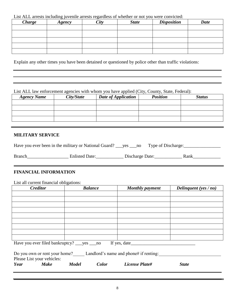List ALL arrests including juvenile arrests regardless of whether or not you were convicted:

| <b>Charge</b> | Agency | City | <b>State</b> | <b>Disposition</b> | <b>Date</b> |
|---------------|--------|------|--------------|--------------------|-------------|
|               |        |      |              |                    |             |
|               |        |      |              |                    |             |
|               |        |      |              |                    |             |
|               |        |      |              |                    |             |
|               |        |      |              |                    |             |

Explain any other times you have been detained or questioned by police other than traffic violations:

List ALL law enforcement agencies with whom you have applied (City, County, State, Federal):

| <b>Agency Name</b> | City/State | <b>Date of Application</b> | <b>Position</b> | <b>Status</b> |
|--------------------|------------|----------------------------|-----------------|---------------|
|                    |            |                            |                 |               |
|                    |            |                            |                 |               |
|                    |            |                            |                 |               |
|                    |            |                            |                 |               |

,我们也不会有什么。""我们的人,我们也不会有什么?""我们的人,我们也不会有什么?""我们的人,我们也不会有什么?""我们的人,我们也不会有什么?""我们的人

#### **MILITARY SERVICE**

| Have you ever been in the military or National Guard? _____ yes _____ no |                       |                 | Type of Discharge: |      |
|--------------------------------------------------------------------------|-----------------------|-----------------|--------------------|------|
| <b>Branch</b>                                                            | <b>Enlisted Date:</b> | Discharge Date: |                    | Rank |

#### **FINANCIAL INFORMATION**

List all current financial obligations:

| <b>Creditor</b>                                                      |              | <b>Balance</b> | <b>Monthly payment</b> | Delinquent (yes $/no)$ |
|----------------------------------------------------------------------|--------------|----------------|------------------------|------------------------|
|                                                                      |              |                |                        |                        |
|                                                                      |              |                |                        |                        |
|                                                                      |              |                |                        |                        |
|                                                                      |              |                |                        |                        |
|                                                                      |              |                |                        |                        |
|                                                                      |              |                |                        |                        |
|                                                                      |              |                |                        |                        |
|                                                                      |              |                |                        |                        |
|                                                                      |              |                |                        |                        |
| Have you ever filed bankruptcy? _____ yes _____ no                   |              |                |                        |                        |
|                                                                      |              |                |                        |                        |
| Do you own or rent your home? Landlord's name and phone# if renting: |              |                |                        |                        |
| Please List your vehicles:                                           |              |                |                        |                        |
| <b>Make</b><br>Year                                                  | <b>Model</b> | Color          | License Plate#         | <b>State</b>           |
|                                                                      |              |                |                        |                        |
|                                                                      |              |                |                        |                        |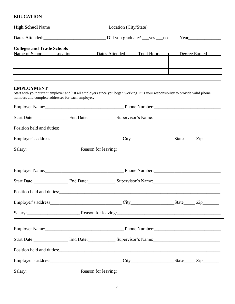#### **EDUCATION**

| <b>Colleges and Trade Schools</b> |                                                   | Name of School   Location   Dates Attended   Total Hours   Degree Earned                                                                                                           |  |  |  |  |  |
|-----------------------------------|---------------------------------------------------|------------------------------------------------------------------------------------------------------------------------------------------------------------------------------------|--|--|--|--|--|
| <b>EMPLOYMENT</b>                 | numbers and complete addresses for each employer. | <u> 1989 - Andrea Andrew Maria (h. 1989).</u><br>Start with your current employer and list all employers since you began working. It is your responsibility to provide valid phone |  |  |  |  |  |
|                                   |                                                   | Start Date: End Date: End Date: Supervisor's Name: Supervisor's Lateral Pate:                                                                                                      |  |  |  |  |  |
|                                   |                                                   |                                                                                                                                                                                    |  |  |  |  |  |
|                                   |                                                   |                                                                                                                                                                                    |  |  |  |  |  |
|                                   |                                                   | Salary: Reason for leaving:                                                                                                                                                        |  |  |  |  |  |
|                                   |                                                   |                                                                                                                                                                                    |  |  |  |  |  |
|                                   |                                                   | Start Date: End Date: End Date: Supervisor's Name: Supervisor's Lateral Pate:                                                                                                      |  |  |  |  |  |
|                                   |                                                   |                                                                                                                                                                                    |  |  |  |  |  |
|                                   |                                                   |                                                                                                                                                                                    |  |  |  |  |  |
|                                   |                                                   |                                                                                                                                                                                    |  |  |  |  |  |
|                                   |                                                   |                                                                                                                                                                                    |  |  |  |  |  |
|                                   |                                                   | Start Date: End Date: Supervisor's Name: Supervisor's - Supervisor's Name:                                                                                                         |  |  |  |  |  |
|                                   |                                                   |                                                                                                                                                                                    |  |  |  |  |  |
|                                   |                                                   |                                                                                                                                                                                    |  |  |  |  |  |
|                                   |                                                   |                                                                                                                                                                                    |  |  |  |  |  |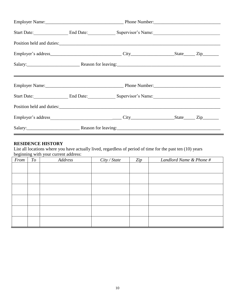|  | Start Date: End Date: End Date: Supervisor's Name: |  |
|--|----------------------------------------------------|--|
|  |                                                    |  |
|  |                                                    |  |
|  |                                                    |  |
|  |                                                    |  |
|  | Start Date: End Date: End Date: Supervisor's Name: |  |
|  |                                                    |  |
|  |                                                    |  |
|  |                                                    |  |

#### **RESIDENCE HISTORY**

List all locations where you have actually lived, regardless of period of time for the past ten (10) years beginning with your current address:

| From | To | Address | City / State | Zip | Landlord Name & Phone # |
|------|----|---------|--------------|-----|-------------------------|
|      |    |         |              |     |                         |
|      |    |         |              |     |                         |
|      |    |         |              |     |                         |
|      |    |         |              |     |                         |
|      |    |         |              |     |                         |
|      |    |         |              |     |                         |
|      |    |         |              |     |                         |
|      |    |         |              |     |                         |
|      |    |         |              |     |                         |
|      |    |         |              |     |                         |
|      |    |         |              |     |                         |
|      |    |         |              |     |                         |